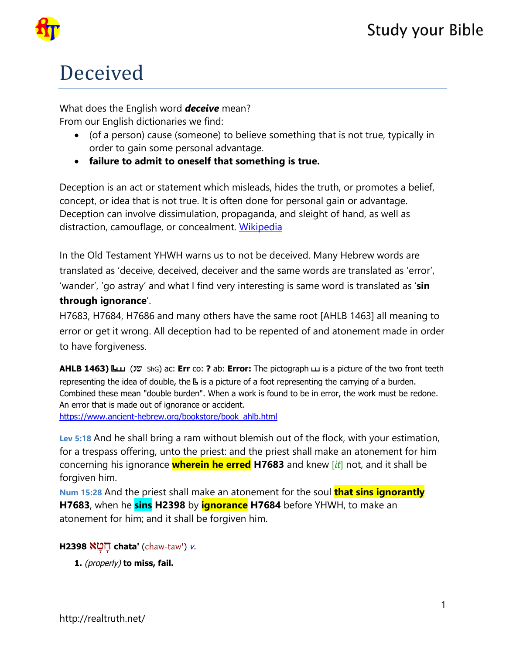# Deceived

What does the English word *deceive* mean? From our English dictionaries we find:

- (of a person) cause (someone) to believe something that is not true, typically in order to gain some personal advantage.
- **failure to admit to oneself that something is true.**

Deception is an act or statement which misleads, hides the truth, or promotes a belief, concept, or idea that is not true. It is often done for personal gain or advantage. Deception can involve dissimulation, propaganda, and sleight of hand, as well as distraction, camouflage, or concealment. [Wikipedia](https://en.wikipedia.org/wiki/Deception)

In the Old Testament YHWH warns us to not be deceived. Many Hebrew words are translated as 'deceive, deceived, deceiver and the same words are translated as 'error', 'wander', 'go astray' and what I find very interesting is same word is translated as '**sin through ignorance**'.

H7683, H7684, H7686 and many others have the same root [AHLB 1463] all meaning to error or get it wrong. All deception had to be repented of and atonement made in order to have forgiveness.

**AHLB 1463)** Cs% (Cs ShG) ac: **Err** co: **?** ab: **Error:** The pictograph s is a picture of the two front teeth representing the idea of double, the  $\mathbb L$  is a picture of a foot representing the carrying of a burden. Combined these mean "double burden". When a work is found to be in error, the work must be redone. An error that is made out of ignorance or accident. [https://www.ancient-hebrew.org/bookstore/book\\_ahlb.html](https://www.ancient-hebrew.org/bookstore/book_ahlb.html)

**Lev 5:18** And he shall bring a ram without blemish out of the flock, with your estimation, for a trespass offering, unto the priest: and the priest shall make an atonement for him concerning his ignorance **wherein he erred H7683** and knew [*it*] not, and it shall be forgiven him.

**Num 15:28** And the priest shall make an atonement for the soul **that sins ignorantly H7683**, when he **sins H2398** by **ignorance H7684** before YHWH, to make an atonement for him; and it shall be forgiven him.

**H2398** אָטָח **chata'** ([chaw-taw'](tw://[self]?tid=15)) [v](tw://[self]?tid=1000000#V-).

**1.** (properly) **to miss, fail.**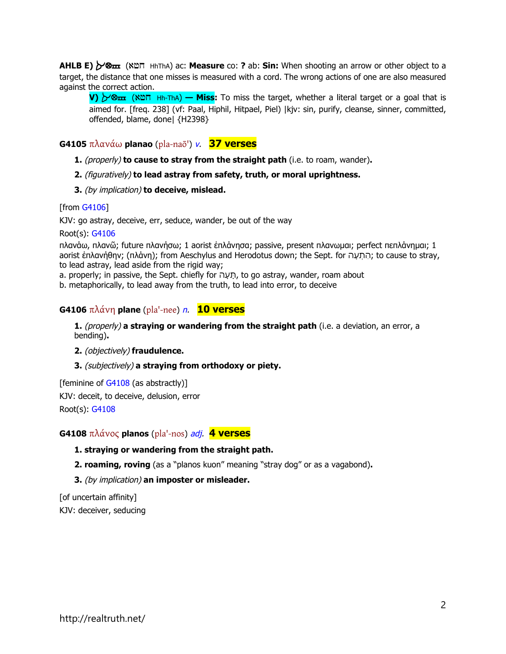**AHLB E)**  $\gamma$ **®**  $\overline{u}$  (AU HhThA) ac: **Measure** co: ? ab: **Sin:** When shooting an arrow or other object to a target, the distance that one misses is measured with a cord. The wrong actions of one are also measured against the correct action.

**V)** Auh (Auh Hh-ThA) **— Miss:** To miss the target, whether a literal target or a goal that is aimed for. [freg. 238] (vf: Paal, Hiphil, Hitpael, Piel) |kjv: sin, purify, cleanse, sinner, committed, offended, blame, done| {H2398}

**G4105** πλανάω **planao** ([pla-naō'](tw://[self]?tid=14)) [v](tw://[self]?tid=1000000#V-). **37 verses**

- **1.** (properly) **to cause to stray from the straight path** (i.e. to roam, wander)**.**
- **2.** (figuratively) **to lead astray from safety, truth, or moral uprightness.**
- **3.** (by implication) **to deceive, mislead.**

#### [from [G4106\]](tw://[self]?G4106)

KJV: go astray, deceive, err, seduce, wander, be out of the way

Root(s): [G4106](tw://[self]?G4106)

πλανάω, πλανῶ; future πλανήσω; 1 aorist ἐπλάνησα; passive, present πλανωμαι; perfect πεπλάνημαι; 1 aorist ἐπλανήθην; (πλάνη); from Aeschylus and Herodotus down; the Sept. for עהָ תְ הִ ; to cause to stray, to lead astray, lead aside from the rigid way;

a. properly; in passive, the Sept. chiefly for תָּעָה, to go astray, wander, roam about

b. metaphorically, to lead away from the truth, to lead into error, to deceive

#### **G4106** πλάνη **plane** ([pla'-nee](tw://[self]?tid=14)) [n](tw://[self]?tid=1000000#N-). **10 verses**

**1.** (properly) **a straying or wandering from the straight path** (i.e. a deviation, an error, a bending)**.** 

**2.** (objectively) **fraudulence.** 

**3.** (subjectively) **a straying from orthodoxy or piety.** 

[feminine of  $G4108$  (as abstractly)] KJV: deceit, to deceive, delusion, error Root(s): [G4108](tw://[self]?G4108)

#### **G4108** πλάνος **planos** ([pla'-nos](tw://[self]?tid=14)) [adj](tw://[self]?tid=1000000#ADJ-). **4 verses**

#### **1. straying or wandering from the straight path.**

**2. roaming, roving** (as a "planos kuon" meaning "stray dog" or as a vagabond)**.** 

**3.** (by implication) **an imposter or misleader.** 

[of uncertain affinity] KJV: deceiver, seducing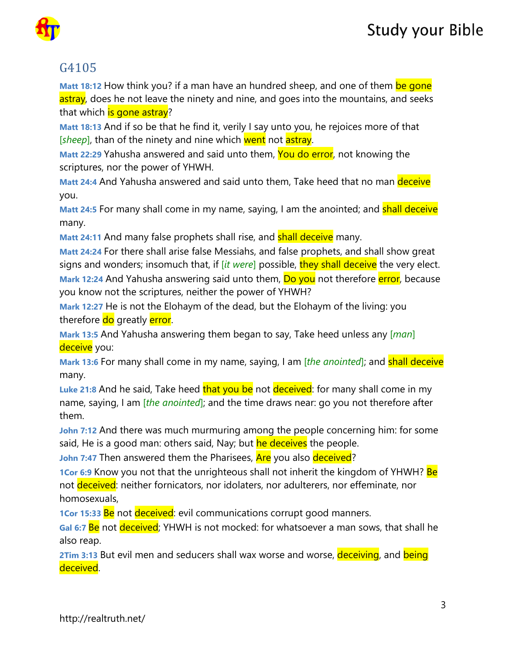

## G4105

**Matt 18:12** How think you? if a man have an hundred sheep, and one of them be gone astray, does he not leave the ninety and nine, and goes into the mountains, and seeks that which is gone astray?

**Matt 18:13** And if so be that he find it, verily I say unto you, he rejoices more of that [*sheep*], than of the ninety and nine which went not astray.

**Matt 22:29** Yahusha answered and said unto them, You do error, not knowing the scriptures, nor the power of YHWH.

**Matt 24:4** And Yahusha answered and said unto them, Take heed that no man deceive you.

**Matt 24:5** For many shall come in my name, saying, I am the anointed; and **shall deceive** many.

**Matt 24:11** And many false prophets shall rise, and **shall deceive** many.

**Matt 24:24** For there shall arise false Messiahs, and false prophets, and shall show great signs and wonders; insomuch that, if [*it were*] possible, they shall deceive the very elect. **Mark 12:24** And Yahusha answering said unto them, **Do you** not therefore **error**, because you know not the scriptures, neither the power of YHWH?

**Mark 12:27** He is not the Elohaym of the dead, but the Elohaym of the living: you therefore do greatly error.

**Mark 13:5** And Yahusha answering them began to say, Take heed unless any [*man*] deceive you:

**Mark 13:6** For many shall come in my name, saying, I am [*the anointed*]; and shall deceive many.

Luke 21:8 And he said, Take heed that you be not deceived: for many shall come in my name, saying, I am [*the anointed*]; and the time draws near: go you not therefore after them.

**John 7:12** And there was much murmuring among the people concerning him: for some said, He is a good man: others said, Nay; but he deceives the people.

**John 7:47** Then answered them the Pharisees, Are you also deceived?

**1Cor 6:9** Know you not that the unrighteous shall not inherit the kingdom of YHWH? Be not deceived: neither fornicators, nor idolaters, nor adulterers, nor effeminate, nor homosexuals,

**1Cor 15:33 Be** not deceived: evil communications corrupt good manners.

**Gal 6:7** Be not deceived; YHWH is not mocked: for whatsoever a man sows, that shall he also reap.

**2Tim 3:13** But evil men and seducers shall wax worse and worse, deceiving, and being deceived.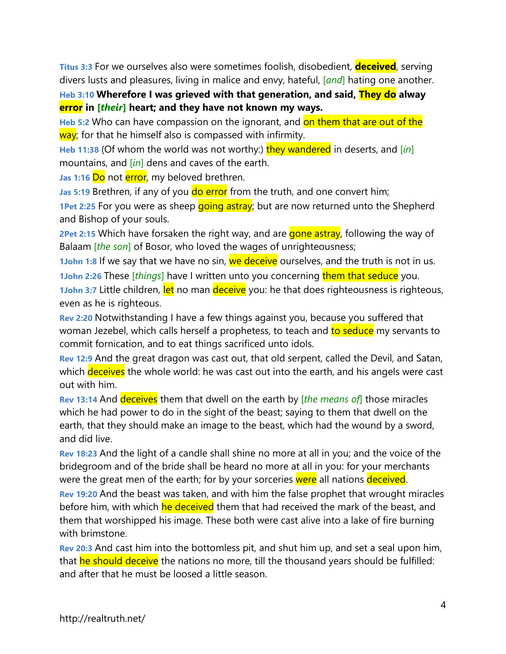**Titus 3:3** For we ourselves also were sometimes foolish, disobedient, **deceived**, serving divers lusts and pleasures, living in malice and envy, hateful, [*and*] hating one another.

**Heb 3:10 Wherefore I was grieved with that generation, and said, They do alway error in [***their***] heart; and they have not known my ways.**

**Heb 5:2** Who can have compassion on the ignorant, and on them that are out of the way; for that he himself also is compassed with infirmity.

**Heb 11:38** (Of whom the world was not worthy:) they wandered in deserts, and [*in*] mountains, and [*in*] dens and caves of the earth.

Jas 1:16 Do not error, my beloved brethren.

**Jas 5:19 Brethren, if any of you do error** from the truth, and one convert him;

**1Pet 2:25** For you were as sheep going astray; but are now returned unto the Shepherd and Bishop of your souls.

**2Pet 2:15** Which have forsaken the right way, and are gone astray, following the way of Balaam [*the son*] of Bosor, who loved the wages of unrighteousness;

**1John 1:8** If we say that we have no sin, we deceive ourselves, and the truth is not in us. **1John 2:26** These [*things*] have I written unto you concerning them that seduce you. **1John 3:7** Little children, let no man deceive you: he that does righteousness is righteous, even as he is righteous.

**Rev 2:20** Notwithstanding I have a few things against you, because you suffered that woman Jezebel, which calls herself a prophetess, to teach and to seduce my servants to commit fornication, and to eat things sacrificed unto idols.

**Rev 12:9** And the great dragon was cast out, that old serpent, called the Devil, and Satan, which **deceives** the whole world: he was cast out into the earth, and his angels were cast out with him.

**Rev 13:14** And deceives them that dwell on the earth by [*the means of*] those miracles which he had power to do in the sight of the beast; saying to them that dwell on the earth, that they should make an image to the beast, which had the wound by a sword, and did live.

**Rev 18:23** And the light of a candle shall shine no more at all in you; and the voice of the bridegroom and of the bride shall be heard no more at all in you: for your merchants were the great men of the earth; for by your sorceries were all nations deceived.

**Rev 19:20** And the beast was taken, and with him the false prophet that wrought miracles before him, with which he deceived them that had received the mark of the beast, and them that worshipped his image. These both were cast alive into a lake of fire burning with brimstone.

**Rev 20:3** And cast him into the bottomless pit, and shut him up, and set a seal upon him, that he should deceive the nations no more, till the thousand years should be fulfilled: and after that he must be loosed a little season.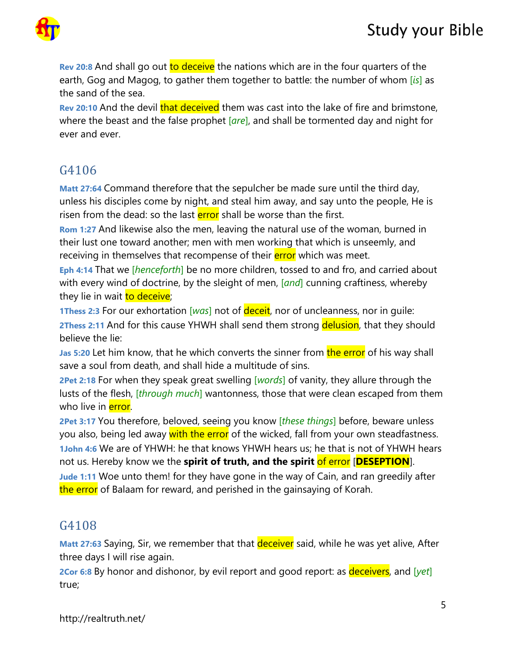

**Rev 20:8** And shall go out to deceive the nations which are in the four quarters of the earth, Gog and Magog, to gather them together to battle: the number of whom [*is*] as the sand of the sea.

**Rev 20:10** And the devil **that deceived** them was cast into the lake of fire and brimstone, where the beast and the false prophet [*are*], and shall be tormented day and night for ever and ever.

## G4106

**Matt 27:64** Command therefore that the sepulcher be made sure until the third day, unless his disciples come by night, and steal him away, and say unto the people, He is risen from the dead: so the last **error** shall be worse than the first.

**Rom 1:27** And likewise also the men, leaving the natural use of the woman, burned in their lust one toward another; men with men working that which is unseemly, and receiving in themselves that recompense of their **error** which was meet.

**Eph 4:14** That we [*henceforth*] be no more children, tossed to and fro, and carried about with every wind of doctrine, by the sleight of men, [*and*] cunning craftiness, whereby they lie in wait to deceive;

**1Thess 2:3** For our exhortation [*was*] not of deceit, nor of uncleanness, nor in guile: **2Thess 2:11** And for this cause YHWH shall send them strong delusion, that they should believe the lie:

**Jas 5:20** Let him know, that he which converts the sinner from the error of his way shall save a soul from death, and shall hide a multitude of sins.

**2Pet 2:18** For when they speak great swelling [*words*] of vanity, they allure through the lusts of the flesh, [*through much*] wantonness, those that were clean escaped from them who live in **error**.

**2Pet 3:17** You therefore, beloved, seeing you know [*these things*] before, beware unless you also, being led away with the error of the wicked, fall from your own steadfastness. **1John 4:6** We are of YHWH: he that knows YHWH hears us; he that is not of YHWH hears not us. Hereby know we the **spirit of truth, and the spirit** of error [**DESEPTION**].

**Jude 1:11** Woe unto them! for they have gone in the way of Cain, and ran greedily after the error of Balaam for reward, and perished in the gainsaying of Korah.

### G4108

**Matt 27:63** Saying, Sir, we remember that that deceiver said, while he was yet alive, After three days I will rise again.

**2Cor 6:8** By honor and dishonor, by evil report and good report: as deceivers, and [*yet*] true;